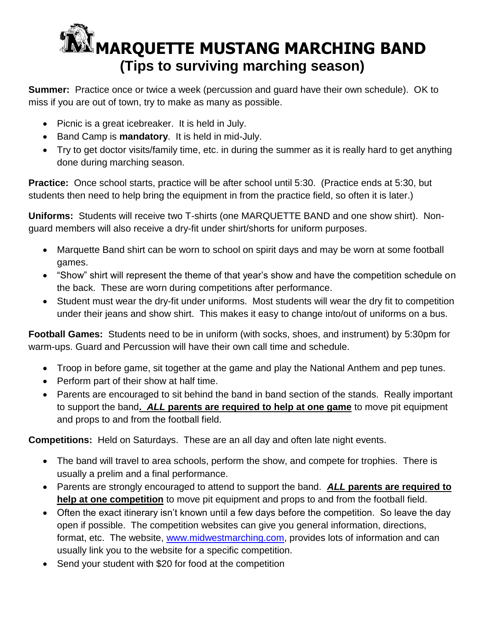## **[M](http://www.google.com/url?url=http://www.fotosearch.com/clip-art/marching-band.html&rct=j&frm=1&q=&esrc=s&sa=U&ei=8wXuU86MBZOBygSJt4G4BQ&ved=0CBoQ9QEwATgU&sig2=Ctx-84KXQGCAV44bPPpRKg&usg=AFQjCNHwzDiWc_WMeoKpK48sjeRD1vXN7g)ARQUETTE MUSTANG MARCHING BAND (Tips to surviving marching season)**

**Summer:** Practice once or twice a week (percussion and guard have their own schedule). OK to miss if you are out of town, try to make as many as possible.

- Picnic is a great icebreaker. It is held in July.
- Band Camp is **mandatory**. It is held in mid-July.
- Try to get doctor visits/family time, etc. in during the summer as it is really hard to get anything done during marching season.

**Practice:** Once school starts, practice will be after school until 5:30. (Practice ends at 5:30, but students then need to help bring the equipment in from the practice field, so often it is later.)

**Uniforms:** Students will receive two T-shirts (one MARQUETTE BAND and one show shirt). Nonguard members will also receive a dry-fit under shirt/shorts for uniform purposes.

- Marquette Band shirt can be worn to school on spirit days and may be worn at some football games.
- "Show" shirt will represent the theme of that year's show and have the competition schedule on the back. These are worn during competitions after performance.
- Student must wear the dry-fit under uniforms. Most students will wear the dry fit to competition under their jeans and show shirt. This makes it easy to change into/out of uniforms on a bus.

**Football Games:** Students need to be in uniform (with socks, shoes, and instrument) by 5:30pm for warm-ups. Guard and Percussion will have their own call time and schedule.

- Troop in before game, sit together at the game and play the National Anthem and pep tunes.
- Perform part of their show at half time.
- Parents are encouraged to sit behind the band in band section of the stands. Really important to support the band**.** *ALL* **parents are required to help at one game** to move pit equipment and props to and from the football field.

**Competitions:** Held on Saturdays. These are an all day and often late night events.

- The band will travel to area schools, perform the show, and compete for trophies. There is usually a prelim and a final performance.
- Parents are strongly encouraged to attend to support the band. *ALL* **parents are required to help at one competition** to move pit equipment and props to and from the football field.
- Often the exact itinerary isn't known until a few days before the competition. So leave the day open if possible. The competition websites can give you general information, directions, format, etc. The website, [www.midwestmarching.com,](http://www.midwestmarching.com/) provides lots of information and can usually link you to the website for a specific competition.
- Send your student with \$20 for food at the competition